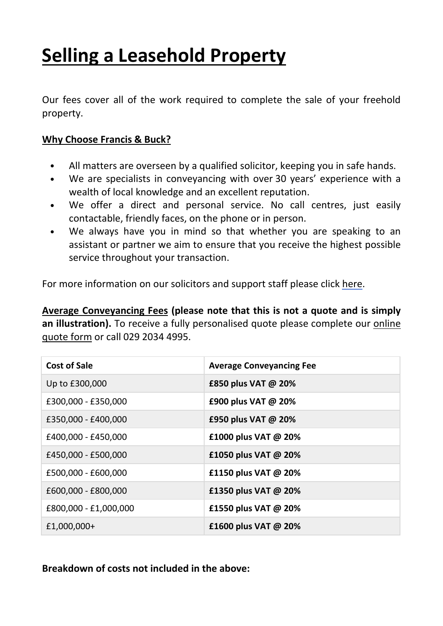# **Selling a Leasehold Property**

Our fees cover all of the work required to complete the sale of your freehold property.

#### **Why Choose Francis & Buck?**

- **•** All matters are overseen by a qualified solicitor, keeping you in safe hands.
- **•** We are specialists in conveyancing with over 30 years' experience with a wealth of local knowledge and an excellent reputation.
- **•** We offer a direct and personal service. No call centres, just easily contactable, friendly faces, on the phone or in person.
- **•** We always have you in mind so that whether you are speaking to an assistant or partner we aim to ensure that you receive the highest possible service throughout your transaction.

For more information on our solicitors and support staff please click [here.](http://francisandbuck.co.uk/meet-the-team/)

**Average Conveyancing Fees (please note that this is not a quote and is simply an illustration).** To receive a fully personalised quote please complete our [online](http://francisandbuck.co.uk/contact-us/) [quote](http://francisandbuck.co.uk/contact-us/) form or call 029 2034 4995.

| <b>Cost of Sale</b>   | <b>Average Conveyancing Fee</b> |
|-----------------------|---------------------------------|
| Up to £300,000        | £850 plus VAT @ 20%             |
| £300,000 - £350,000   | £900 plus VAT @ 20%             |
| £350,000 - £400,000   | £950 plus VAT @ 20%             |
| £400,000 - £450,000   | £1000 plus VAT @ 20%            |
| £450,000 - £500,000   | £1050 plus VAT @ 20%            |
| £500,000 - £600,000   | £1150 plus VAT @ 20%            |
| £600,000 - £800,000   | £1350 plus VAT @ 20%            |
| £800,000 - £1,000,000 | £1550 plus VAT @ 20%            |
| £1,000,000+           | £1600 plus VAT @ 20%            |

**Breakdown of costs not included in the above:**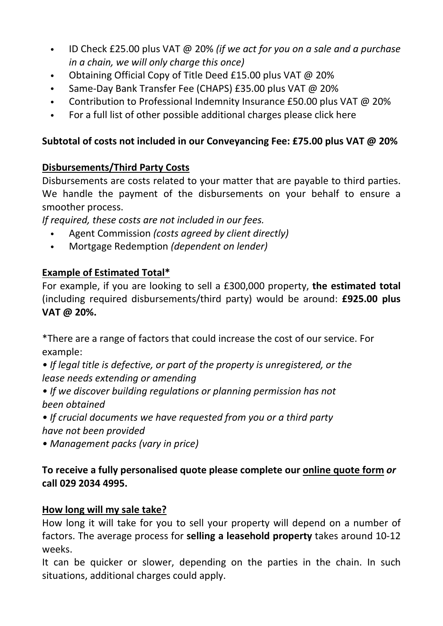- ID Check £25.00 plus VAT @ 20% *(if we act for you on a sale and a purchase in a chain, we will only charge this once)*
- Obtaining Official Copy of Title Deed £15.00 plus VAT @ 20%
- Same-Day Bank Transfer Fee (CHAPS) £35.00 plus VAT @ 20%
- Contribution to Professional Indemnity Insurance £50.00 plus VAT @ 20%
- For a full list of other possible additional charges please click here

# **Subtotal of costs not included in our Conveyancing Fee: £75.00 plus VAT @ 20%**

# **Disbursements/Third Party Costs**

Disbursements are costs related to your matter that are payable to third parties. We handle the payment of the disbursements on your behalf to ensure a smoother process.

*If required, these costs are not included in our fees.*

- Agent Commission *(costs agreed by client directly)*
- Mortgage Redemption *(dependent on lender)*

# **Example of Estimated Total\***

For example, if you are looking to sell a £300,000 property, **the estimated total** (including required disbursements/third party) would be around: **£925.00 plus VAT @ 20%.**

\*There are a range of factors that could increase the cost of our service. For example:

*• If legal title is defective, or part of the property is unregistered, or the lease needs extending or amending*

*• If we discover building regulations or planning permission has not been obtained*

*• If crucial documents we have requested from you or a third party have not been provided*

*• Management packs (vary in price)*

## **To receive a fully personalised quote please complete our [online](http://francisandbuck.co.uk/contact-us/) quote form** *or* **call 029 2034 4995.**

## **How long will my sale take?**

How long it will take for you to sell your property will depend on a number of factors. The average process for **selling a leasehold property** takes around 10-12 weeks.

It can be quicker or slower, depending on the parties in the chain. In such situations, additional charges could apply.